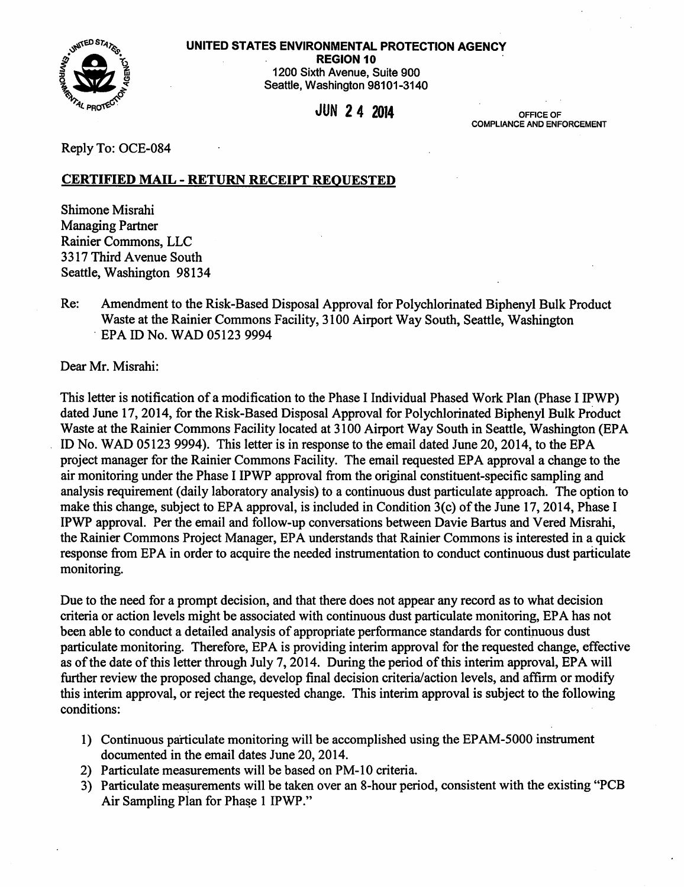

REGION 10



1200 Sixth Avenue, Suite 900 Seattle, Washington 98101-3140

 $JUN$  2 4 2014

COMPLIANCE AND ENFORCEMENT

Reply To: OCE-084

## CERTIFIED MAIL - RETURN RECEIPT REQUESTED

Shimone Misrahi Managing Partner Rainier Commons, LLC 3317 Third A venue South Seattle, Washington 98134

Re: Amendment to the Risk-Based Disposal Approval for Polychlorinated Biphenyl Bulk Product Waste at the Rainier Commons Facility, 3100 Airport Way South, Seattle, Washington · EPA ID No. WAD 05123 9994

Dear Mr. Misrahi:

This letter is notification of a modification to the Phase I Individual Phased Work Plan (Phase I IPWP) dated June 17, 2014, for the Risk-Based Disposal Approval for Polychlorinated Biphenyl Bulk Product Waste at the Rainier Commons Facility located at 3100 Airport Way South in Seattle, Washington (EPA ID No. WAD 05123 9994). This letter is in response to the email dated June 20, 2014, to the EPA project manager for the Rainier Commons Facility. The email requested EPA approval a change to the air monitoring under the Phase I IPWP approval from the original constituent-specific sampling and analysis requirement (daily laboratory analysis) to a continuous dust particulate approach. The option to make this change, subject to EPA approval, is included in Condition 3(c) of the June 17, 2014, Phase I IPWP approval. Per the email and follow-up conversations between Davie Bartus and Vered Misrahi, the Rainier Commons Project Manager, EPA understands that Rainier Commons is interested in a quick response from EPA in order to acquire the needed instrumentation to conduct continuous dust particulate monitoring.

Due to the need for a prompt decision, and that there does not appear any record as to what decision criteria or action levels might be associated with continuous dust particulate monitoring, EPA has not been able to conduct a detailed analysis of appropriate performance standards for continuous dust particulate monitoring. Therefore, EPA is providing interim approval for the requested change, effective as of the date of this letter through July 7, 2014. During the period of this interim approval, EPA will further review the proposed change, develop final decision criteria/action levels, and affirm or modify this interim approval, or reject the requested change. This interim approval is subject to the following conditions:

- 1) Continuous particulate monitoring will be accomplished using the EP AM-5000 instrument documented in the email dates June 20, 2014.
- 2) Particulate measurements will be based on PM-10 criteria.
- 3) Particulate measurements will be taken over an 8-hour period, consistent with the existing "PCB Air Sampling Plan for Phase 1 IPWP."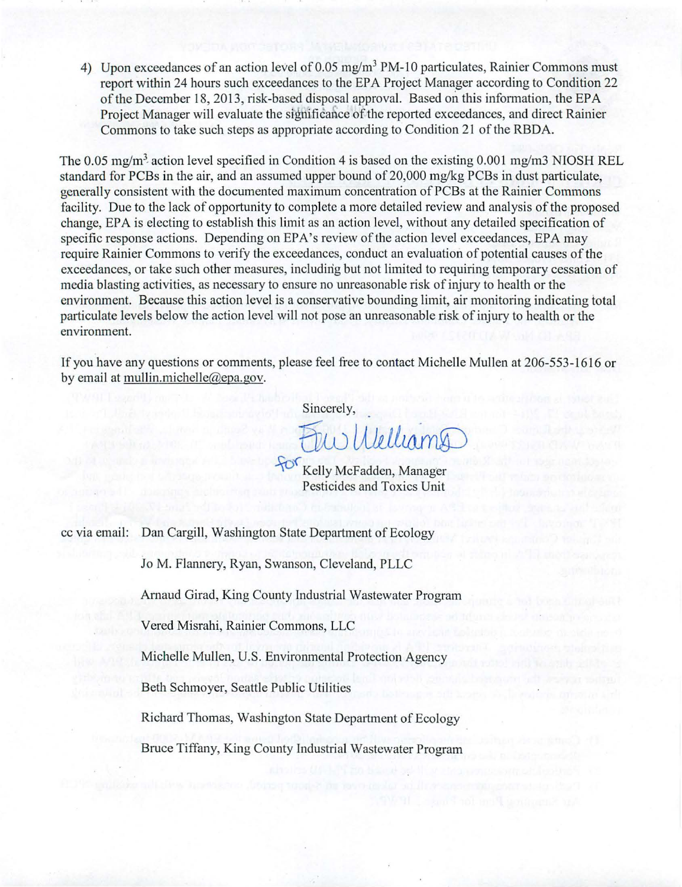4) Upon exceedances of an action level of 0.05 mg/m<sup>3</sup> PM-10 particulates, Rainier Commons must report within 24 hours such exceedances to the EPA Project Manager according to Condition 22 of the December 18, 2013, risk-based disposal approval. Based on this information, the EPA Project Manager will evaluate the significance of the reported exceedances, and direct Rainier Commons to take such steps as appropriate according to Condition 21 of the RBDA.

The 0.05 mg/m<sup>3</sup> action level specified in Condition 4 is based on the existing 0.001 mg/m3 NIOSH REL standard for PCBs in the air, and an assumed upper bound of 20,000 mg/kg PCBs in dust particulate, generally consistent with the documented maximum concentration ofPCBs at the Rainier Commons facility. Due to the lack of opportunity to complete a more detailed review and analysis of the proposed change, EPA is electing to establish this limit as an action level, without any detailed specification of specific response actions. Depending on EPA's review of the action level exceedances, EPA may require Rainier Commons to verify the exceedances, conduct an evaluation of potential causes of the exceedances, or take such other measures, including but not limited to requiring temporary cessation of media blasting activities, as necessary to ensure no unreasonable risk of injury to health or the environment. Because this action level is a conservative bounding limit, air monitoring indicating total particulate levels below the action level will not pose an unreasonable risk of injury to health or the environment.

If you have any questions or comments, please feel free to contact Michelle Mullen at 206-553-1616 or by email at mullin.michelle@epa.gov.

Sincerely,

Fuu Welliamg

Pesticides and Toxics Unit

cc via email: Dan Cargill, Washington State Department of Ecology

Jo M. Flannery, Ryan, Swanson, Cleveland, PLLC

Arnaud Girad, King County Industrial Wastewater Program

Vered Misrahi, Rainier Commons, LLC

Michelle Mullen, U.S. Environmental Protection Agency

Beth Schmoyer, Seattle Public Utilities

Richard Thomas, Washington State Department of Ecology

Bruce Tiffany, King County Industrial Wastewater Program